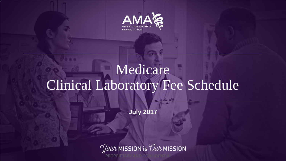

## Medicare Clinical Laboratory Fee Schedule

**July 2017** 

*Your* MISSION is *Our* MISSION PROPRIETARY AND CONFIDENTIAL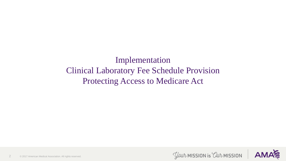Implementation Clinical Laboratory Fee Schedule Provision Protecting Access to Medicare Act



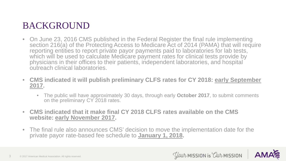### BACKGROUND

- On June 23, 2016 CMS published in the Federal Register the final rule implementing section 216(a) of the Protecting Access to Medicare Act of 2014 (PAMA) that will require reporting entities to report private payor payments paid to laboratories for lab tests, which will be used to calculate Medicare payment rates for clinical tests provide by physicians in their offices to their patients, independent laboratories, and hospital outreach clinical laboratories.
- **CMS indicated it will publish preliminary CLFS rates for CY 2018: early September 2017.** 
	- The public will have approximately 30 days, through early **October 2017**, to submit comments on the preliminary CY 2018 rates.
- **CMS indicated that it make final CY 2018 CLFS rates available on the CMS website: early November 2017.**
- The final rule also announces CMS' decision to move the implementation date for the private payor rate-based fee schedule to **January 1, 2018.**



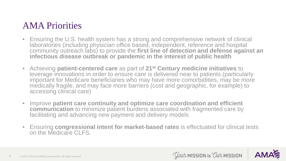#### AMA Priorities

- Ensuring the U.S. health system has a strong and comprehensive network of clinical laboratories (including physician office based, independent, reference and hospital community outreach labs) to provide the **first line of detection and defense against an**  infectious disease outbreak or pandemic in the interest of public health
- Achieving **patient-centered care** as part of **21st Century medicine initiatives** to leverage innovations in order to ensure care is delivered near to patients (particularly important for Medicare beneficiaries who may have more comorbidities, may be more medically fragile, and may face more barriers (cost and geographic, for example) to accessing clinical care)
- Improve **patient care continuity and optimize care coordination and efficient communication** to minimize patient burdens associated with fragmented care by facilitating and advancing new payment and delivery models
- Ensuring **congressional intent for market-based rates** is effectuated for clinical tests on the Medicare CLFS.

*Your* MISSION is *Our* MISSION

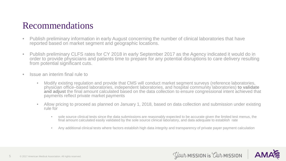#### Recommendations

- Publish preliminary information in early August concerning the number of clinical laboratories that have reported based on market segment and geographic locations.
- Publish preliminary CLFS rates for CY 2018 in early September 2017 as the Agency indicated it would do in order to provide physicians and patients time to prepare for any potential disruptions to care delivery resulting from potential significant cuts.
- Issue an interim final rule to
	- Modify existing regulation and provide that CMS will conduct market segment surveys (reference laboratories, physician office–based laboratories, independent laboratories, and hospital community laboratories) **to validate and adjust** the final amount calculated based on the data collection to ensure congressional intent achieved that payments reflect private market payments
	- Allow pricing to proceed as planned on January 1, 2018, based on data collection and submission under existing rule for
		- sole source clinical tests since the data submissions are reasonably expected to be accurate given the limited test menus, the final amount calculated easily validated by the sole source clinical laboratory, and data adequate to establish rate
		- Any additional clinical tests where factors establish high data integrity and transparency of private payer payment calculation



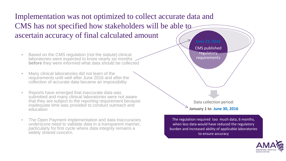Implementation was not optimized to collect accurate data and CMS has not specified how stakeholders will be able to ascertain accuracy of final calculated amount

- Based on the CMS regulation (not the statute) clinical regulation (not the statute) clinical requirements **before** they were informed what data should be collected
- Many clinical laboratories did not learn of the requirements until well after June 2016 and after the collection of accurate data became an impossibility
- Reports have emerged that inaccurate data was submitted and many clinical laboratories were not aware that they are subject to the reporting requirement because inadequate time was provided to conduct outreach and education
- The Open Payment implementation and data inaccuracies underscore need to validate data in a transparent manner, particularly for first cycle where data integrity remains a widely shared concern.

CMS published regulatory

Data collection period: **January 1 to June 30, 2016** 

The regulation required too much data, 6 months, when less data would have reduced the regulatory burden and increased ability of applicable laboratories to ensure accuracy

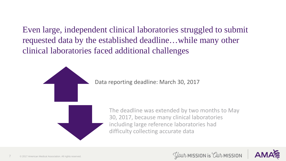Even large, independent clinical laboratories struggled to submit requested data by the established deadline…while many other clinical laboratories faced additional challenges

Data reporting deadline: March 30, 2017



The deadline was extended by two months to May 30, 2017, because many clinical laboratories including large reference laboratories had difficulty collecting accurate data



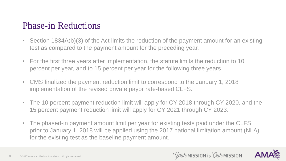#### Phase-in Reductions

- Section 1834A(b)(3) of the Act limits the reduction of the payment amount for an existing test as compared to the payment amount for the preceding year.
- For the first three years after implementation, the statute limits the reduction to 10 percent per year, and to 15 percent per year for the following three years.
- CMS finalized the payment reduction limit to correspond to the January 1, 2018 implementation of the revised private payor rate-based CLFS.
- The 10 percent payment reduction limit will apply for CY 2018 through CY 2020, and the 15 percent payment reduction limit will apply for CY 2021 through CY 2023.
- The phased-in payment amount limit per year for existing tests paid under the CLFS prior to January 1, 2018 will be applied using the 2017 national limitation amount (NLA) for the existing test as the baseline payment amount.



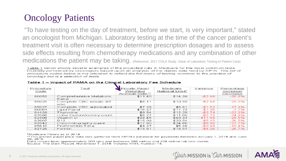### Oncology Patients

"To have testing on the day of treatment, before we start, is very important," stated an oncologist from Michigan. Laboratory testing at the time of the cancer patient's treatment visit is often necessary to determine prescription dosages and to assess side effects resulting from chemotherapy medications and any combination of other medications the patient may be taking. (Reference: 2017 COLA Study, Value of Laboratory Testing to Patient Care)

Table 1 below shows several examples of the projected cuts in Medicare for the most common tests routinely performed by oncologists based upon an analysis of the claims data held by XIFIN. The list of procedure codes below is not intended to reflect the full menu of testing common to the practice of oncoloav but is a selection of tests.

| Procedure | Test                             | Private Paver  | Medicare        | Variance  | Percentage |
|-----------|----------------------------------|----------------|-----------------|-----------|------------|
| Code      |                                  | Weighted       | National Limit* |           | Increase/  |
|           |                                  | Average Rate** |                 |           | Decrease   |
| 80053     | Comprehensive Metabolic<br>Panel | \$11.40        | \$14.39         | $- $2.99$ | $-20.8%$   |
| 85025     | Complete CBC w/auto diff<br>wbc. | \$8.11         | \$10.59         | $-$2.48$  | $-23.5%$   |
| 85027     | Complete CBC automated           | \$7.28         | \$8.81          | $-$1.53$  | $-17.3%$   |
| 80061     | Lipid Panel                      | \$16.37        | \$17.73         | $-$1.36$  | $-7.7%$    |
| 84439     | Thyroxine                        | \$9.54         | \$12.28         | $-$2.74$  | $-22.3%$   |
| 87086     | Urine Culture/colony count       | \$8.27         | \$11.00         | $-$2.73$  | $-24.8%$   |
| 82306     | Vitamin $D$                      | \$28.45        | \$40.33         | $-$11.88$ | $-29.5%$   |
| 82607     | B12                              | \$15.09        | \$20.54         | $-$5.45$  | $-26.5%$   |
| 82542     | Chromotography quant             | \$17.80        | \$24.60         | $-$6.80$  | $-27.7%$   |
| 85610     | Prothrombin Time                 | \$4.37         | \$5.36          | -\$0.99   | $-18.4%$   |
| 82728     | Ferritin                         | \$13.61        | \$18.57         | $-$4.96$  | $-26.7%$   |

#### Table 1 - Impact of PAMA on the Clinical Laboratory Fee Schedule

\*Medicare Prices as of 2016

\*\*This private payer price data was gathered from XIFIN's database for payments between January 1, 2016 and June 30, 2016

*Your* MISSION is *Our* MISSION

Data comes from approximately 200 labs and between 200 million and 300 million lab test claims Source: The Dark Report. November 7. 2016. Volume XXIII, Number 15.

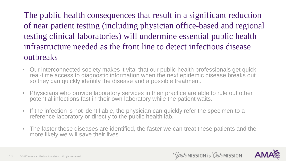The public health consequences that result in a significant reduction of near patient testing (including physician office-based and regional testing clinical laboratories) will undermine essential public health infrastructure needed as the front line to detect infectious disease outbreaks

- Our interconnected society makes it vital that our public health professionals get quick, real-time access to diagnostic information when the next epidemic disease breaks out so they can quickly identify the disease and a possible treatment.
- Physicians who provide laboratory services in their practice are able to rule out other potential infections fast in their own laboratory while the patient waits.
- If the infection is not identifiable, the physician can quickly refer the specimen to a reference laboratory or directly to the public health lab.
- The faster these diseases are identified, the faster we can treat these patients and the more likely we will save their lives.



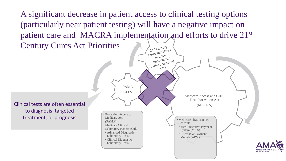A significant decrease in patient access to clinical testing options (particularly near patient testing) will have a negative impact on patient care and MACRA implementation and efforts to drive 21st Century Cures Act Priorities 21st Century 21<sup>st</sup> Century<br>Cures Initiatives

 $\frac{e^{\epsilon}}{t}$  o drive to drive<br>personalized<br>personalized personalized<br>patient centered  $care$ PAMA CLFS Medicare Access and CHIP Reauthorization Act Clinical tests are often essential (MACRA) to diagnosis, targeted • Protecting Access to treatment, or prognosisMedicare Act • Medicare Physician Fee (PAMA) Schedule Medicare Clinical • Merit Incentive Payment Laboratory Fee Schedule System (MIPS) • Advanced Diagnostic • Alternative Payment Laboratory Tests Models (APM) • Clinical Diagnostic Laboratory Tests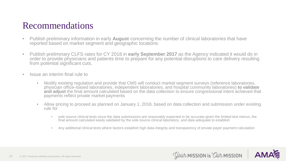#### Recommendations

- Publish preliminary information in early **August** concerning the number of clinical laboratories that have reported based on market segment and geographic locations.
- Publish preliminary CLFS rates for CY 2018 in **early September 2017** as the Agency indicated it would do in order to provide physicians and patients time to prepare for any potential disruptions to care delivery resulting from potential significant cuts.
- Issue an interim final rule to
	- Modify existing regulation and provide that CMS will conduct market segment surveys (reference laboratories, physician office–based laboratories, independent laboratories, and hospital community laboratories) **to validate and adjust** the final amount calculated based on the data collection to ensure congressional intent achieved that payments reflect private market payments
	- Allow pricing to proceed as planned on January 1, 2018, based on data collection and submission under existing rule for
		- sole source clinical tests since the data submissions are reasonably expected to be accurate given the limited test menus, the final amount calculated easily validated by the sole source clinical laboratory, and data adequate to establish
		- Any additional clinical tests where factors establish high data integrity and transparency of private payer payment calculation



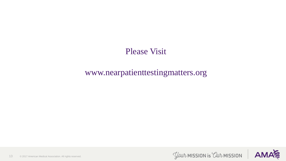Please Visit

#### www.nearpatienttestingmatters.org